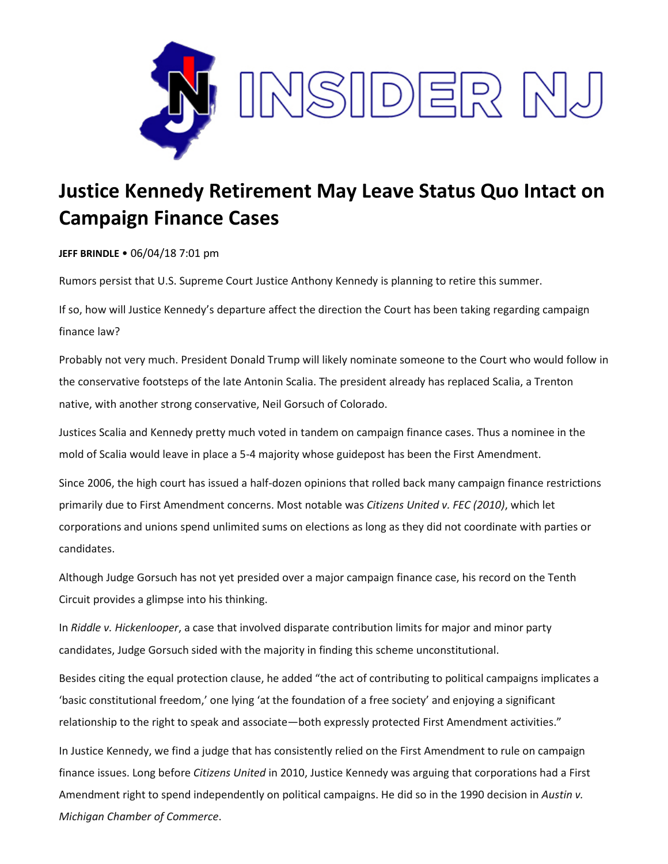

## **Justice Kennedy Retirement May Leave Status Quo Intact on Campaign Finance Cases**

**JEFF BRINDLE** • 06/04/18 7:01 pm

Rumors persist that U.S. Supreme Court Justice Anthony Kennedy is planning to retire this summer.

If so, how will Justice Kennedy's departure affect the direction the Court has been taking regarding campaign finance law?

Probably not very much. President Donald Trump will likely nominate someone to the Court who would follow in the conservative footsteps of the late Antonin Scalia. The president already has replaced Scalia, a Trenton native, with another strong conservative, Neil Gorsuch of Colorado.

Justices Scalia and Kennedy pretty much voted in tandem on campaign finance cases. Thus a nominee in the mold of Scalia would leave in place a 5-4 majority whose guidepost has been the First Amendment.

Since 2006, the high court has issued a half-dozen opinions that rolled back many campaign finance restrictions primarily due to First Amendment concerns. Most notable was *Citizens United v. FEC (2010)*, which let corporations and unions spend unlimited sums on elections as long as they did not coordinate with parties or candidates.

Although Judge Gorsuch has not yet presided over a major campaign finance case, his record on the Tenth Circuit provides a glimpse into his thinking.

In *Riddle v. Hickenlooper*, a case that involved disparate contribution limits for major and minor party candidates, Judge Gorsuch sided with the majority in finding this scheme unconstitutional.

Besides citing the equal protection clause, he added "the act of contributing to political campaigns implicates a 'basic constitutional freedom,' one lying 'at the foundation of a free society' and enjoying a significant relationship to the right to speak and associate—both expressly protected First Amendment activities."

In Justice Kennedy, we find a judge that has consistently relied on the First Amendment to rule on campaign finance issues. Long before *Citizens United* in 2010, Justice Kennedy was arguing that corporations had a First Amendment right to spend independently on political campaigns. He did so in the 1990 decision in *Austin v. Michigan Chamber of Commerce*.